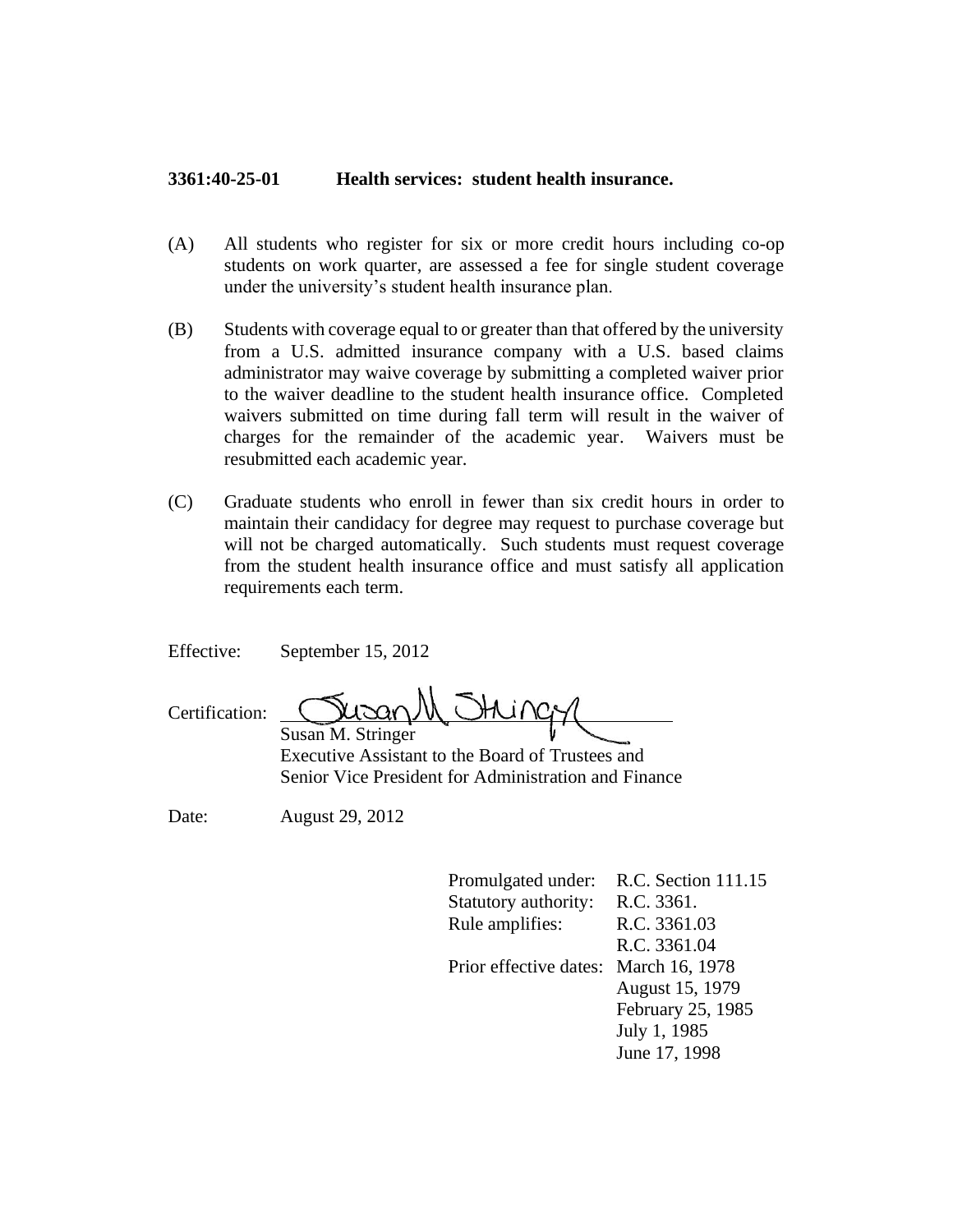## **3361:40-25-01 Health services: student health insurance.**

- (A) All students who register for six or more credit hours including co-op students on work quarter, are assessed a fee for single student coverage under the university's student health insurance plan.
- (B) Students with coverage equal to or greater than that offered by the university from a U.S. admitted insurance company with a U.S. based claims administrator may waive coverage by submitting a completed waiver prior to the waiver deadline to the student health insurance office. Completed waivers submitted on time during fall term will result in the waiver of charges for the remainder of the academic year. Waivers must be resubmitted each academic year.
- (C) Graduate students who enroll in fewer than six credit hours in order to maintain their candidacy for degree may request to purchase coverage but will not be charged automatically. Such students must request coverage from the student health insurance office and must satisfy all application requirements each term.

Effective: September 15, 2012

| Certification: | wound them             |  |
|----------------|------------------------|--|
|                | $Smean M Strin \sigma$ |  |

Susan M. Stringer Executive Assistant to the Board of Trustees and Senior Vice President for Administration and Finance

Date: August 29, 2012

Promulgated under: R.C. Section 111.15 Statutory authority: R.C. 3361. Rule amplifies: R.C. 3361.03 R.C. 3361.04 Prior effective dates: March 16, 1978 August 15, 1979 February 25, 1985 July 1, 1985 June 17, 1998